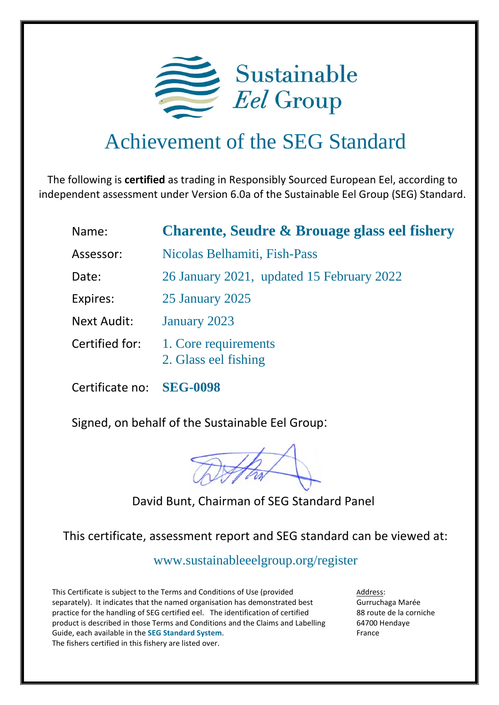

## Achievement of the SEG Standard

The following is **certified** as trading in Responsibly Sourced European Eel, according to independent assessment under Version 6.0a of the Sustainable Eel Group (SEG) Standard.

| Name:                                              | <b>Charente, Seudre &amp; Brouage glass eel fishery</b> |  |  |  |
|----------------------------------------------------|---------------------------------------------------------|--|--|--|
| Assessor:                                          | Nicolas Belhamiti, Fish-Pass                            |  |  |  |
| 26 January 2021, updated 15 February 2022<br>Date: |                                                         |  |  |  |
| Expires:                                           | 25 January 2025                                         |  |  |  |
| <b>Next Audit:</b>                                 | January 2023                                            |  |  |  |
| Certified for:                                     | 1. Core requirements<br>2. Glass eel fishing            |  |  |  |

Certificate no: **SEG-0098**

Signed, on behalf of the Sustainable Eel Group:

David Bunt, Chairman of SEG Standard Panel

This certificate, assessment report and SEG standard can be viewed at:

<www.sustainableeelgroup.org/register>

This Certificate is subject to the Terms and Conditions of Use (provided separately). It indicates that the named organisation has demonstrated best practice for the handling of SEG certified eel. The identification of certified product is described in those Terms and Conditions and the Claims and Labelling Guide, each available in the **[SEG Standard System](https://www.sustainableeelgroup.org/the-seg-standard-system/)**. The fishers certified in this fishery are listed over.

Address: Gurruchaga Marée 88 route de la corniche 64700 Hendaye France